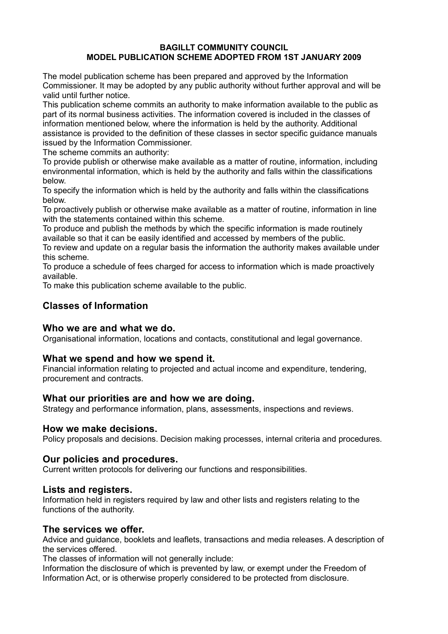#### **BAGILLT COMMUNITY COUNCIL MODEL PUBLICATION SCHEME ADOPTED FROM 1ST JANUARY 2009**

The model publication scheme has been prepared and approved by the Information Commissioner. It may be adopted by any public authority without further approval and will be valid until further notice.

This publication scheme commits an authority to make information available to the public as part of its normal business activities. The information covered is included in the classes of information mentioned below, where the information is held by the authority. Additional assistance is provided to the definition of these classes in sector specific guidance manuals issued by the Information Commissioner.

The scheme commits an authority:

To provide publish or otherwise make available as a matter of routine, information, including environmental information, which is held by the authority and falls within the classifications below.

To specify the information which is held by the authority and falls within the classifications below.

To proactively publish or otherwise make available as a matter of routine, information in line with the statements contained within this scheme.

To produce and publish the methods by which the specific information is made routinely available so that it can be easily identified and accessed by members of the public.

To review and update on a regular basis the information the authority makes available under this scheme.

To produce a schedule of fees charged for access to information which is made proactively available.

To make this publication scheme available to the public.

## **Classes of Information**

## **Who we are and what we do.**

Organisational information, locations and contacts, constitutional and legal governance.

#### **What we spend and how we spend it.**

Financial information relating to projected and actual income and expenditure, tendering, procurement and contracts.

#### **What our priorities are and how we are doing.**

Strategy and performance information, plans, assessments, inspections and reviews.

#### **How we make decisions.**

Policy proposals and decisions. Decision making processes, internal criteria and procedures.

## **Our policies and procedures.**

Current written protocols for delivering our functions and responsibilities.

#### **Lists and registers.**

Information held in registers required by law and other lists and registers relating to the functions of the authority.

#### **The services we offer.**

Advice and guidance, booklets and leaflets, transactions and media releases. A description of the services offered.

The classes of information will not generally include:

Information the disclosure of which is prevented by law, or exempt under the Freedom of Information Act, or is otherwise properly considered to be protected from disclosure.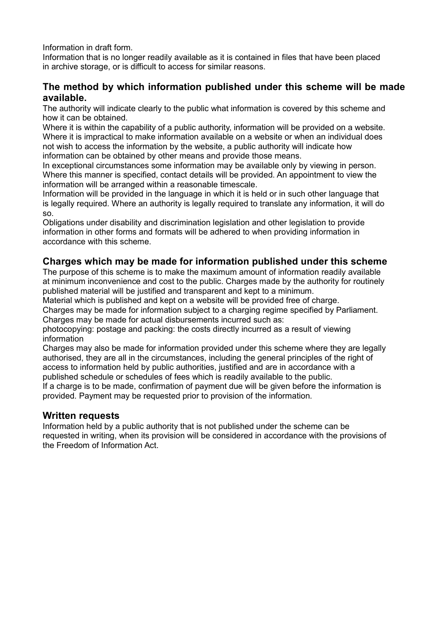Information in draft form.

Information that is no longer readily available as it is contained in files that have been placed in archive storage, or is difficult to access for similar reasons.

# **The method by which information published under this scheme will be made available.**

The authority will indicate clearly to the public what information is covered by this scheme and how it can be obtained.

Where it is within the capability of a public authority, information will be provided on a website. Where it is impractical to make information available on a website or when an individual does not wish to access the information by the website, a public authority will indicate how information can be obtained by other means and provide those means.

In exceptional circumstances some information may be available only by viewing in person. Where this manner is specified, contact details will be provided. An appointment to view the information will be arranged within a reasonable timescale.

Information will be provided in the language in which it is held or in such other language that is legally required. Where an authority is legally required to translate any information, it will do so.

Obligations under disability and discrimination legislation and other legislation to provide information in other forms and formats will be adhered to when providing information in accordance with this scheme.

# **Charges which may be made for information published under this scheme**

The purpose of this scheme is to make the maximum amount of information readily available at minimum inconvenience and cost to the public. Charges made by the authority for routinely published material will be justified and transparent and kept to a minimum.

Material which is published and kept on a website will be provided free of charge. Charges may be made for information subject to a charging regime specified by Parliament.

Charges may be made for actual disbursements incurred such as:

photocopying: postage and packing: the costs directly incurred as a result of viewing information

Charges may also be made for information provided under this scheme where they are legally authorised, they are all in the circumstances, including the general principles of the right of access to information held by public authorities, justified and are in accordance with a published schedule or schedules of fees which is readily available to the public.

If a charge is to be made, confirmation of payment due will be given before the information is provided. Payment may be requested prior to provision of the information.

## **Written requests**

Information held by a public authority that is not published under the scheme can be requested in writing, when its provision will be considered in accordance with the provisions of the Freedom of Information Act.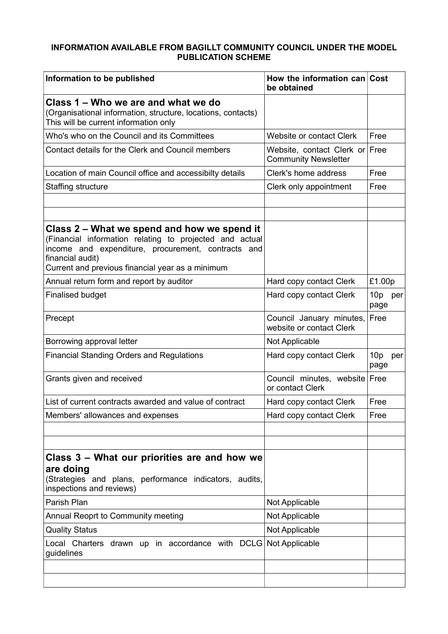## **INFORMATION AVAILABLE FROM BAGILLT COMMUNITY COUNCIL UNDER THE MODEL PUBLICATION SCHEME**

| Information to be published                                                                                                                                                                                                          | How the information can Cost<br>be obtained                   |                                |
|--------------------------------------------------------------------------------------------------------------------------------------------------------------------------------------------------------------------------------------|---------------------------------------------------------------|--------------------------------|
| Class 1 – Who we are and what we do<br>(Organisational information, structure, locations, contacts)<br>This will be current information only                                                                                         |                                                               |                                |
| Who's who on the Council and its Committees                                                                                                                                                                                          | Website or contact Clerk                                      | Free                           |
| Contact details for the Clerk and Council members                                                                                                                                                                                    | Website, contact Clerk or Free<br><b>Community Newsletter</b> |                                |
| Location of main Council office and accessibilty details                                                                                                                                                                             | Clerk's home address                                          | Free                           |
| <b>Staffing structure</b>                                                                                                                                                                                                            | Clerk only appointment                                        | Free                           |
|                                                                                                                                                                                                                                      |                                                               |                                |
| Class 2 – What we spend and how we spend it<br>(Financial information relating to projected and actual<br>income and expenditure, procurement, contracts and<br>financial audit)<br>Current and previous financial year as a minimum |                                                               |                                |
| Annual return form and report by auditor                                                                                                                                                                                             | Hard copy contact Clerk                                       | £1.00p                         |
| <b>Finalised budget</b>                                                                                                                                                                                                              | Hard copy contact Clerk                                       | 10p per<br>page                |
| Precept                                                                                                                                                                                                                              | Council January minutes,<br>website or contact Clerk          | Free                           |
| Borrowing approval letter                                                                                                                                                                                                            | Not Applicable                                                |                                |
| <b>Financial Standing Orders and Regulations</b>                                                                                                                                                                                     | Hard copy contact Clerk                                       | 10 <sub>p</sub><br>per<br>page |
| Grants given and received                                                                                                                                                                                                            | Council minutes, website Free<br>or contact Clerk             |                                |
| List of current contracts awarded and value of contract                                                                                                                                                                              | Hard copy contact Clerk                                       | Free                           |
| Members' allowances and expenses                                                                                                                                                                                                     | Hard copy contact Clerk                                       | Free                           |
|                                                                                                                                                                                                                                      |                                                               |                                |
|                                                                                                                                                                                                                                      |                                                               |                                |
| Class 3 – What our priorities are and how we<br>are doing<br>(Strategies and plans, performance indicators, audits,<br>inspections and reviews)                                                                                      |                                                               |                                |
| Parish Plan                                                                                                                                                                                                                          | Not Applicable                                                |                                |
| Annual Reoprt to Community meeting                                                                                                                                                                                                   | Not Applicable                                                |                                |
| <b>Quality Status</b>                                                                                                                                                                                                                | Not Applicable                                                |                                |
| Local Charters drawn up in accordance with DCLG Not Applicable<br>guidelines                                                                                                                                                         |                                                               |                                |
|                                                                                                                                                                                                                                      |                                                               |                                |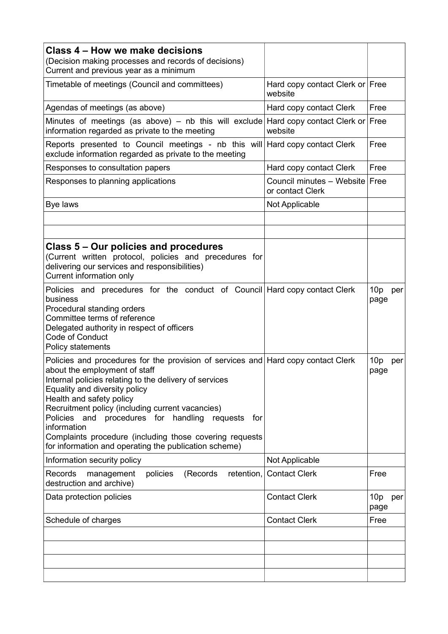| Class 4 – How we make decisions<br>(Decision making processes and records of decisions)<br>Current and previous year as a minimum                                                                                                                                                                                                                                                                                                                                                           |                                                    |                                |
|---------------------------------------------------------------------------------------------------------------------------------------------------------------------------------------------------------------------------------------------------------------------------------------------------------------------------------------------------------------------------------------------------------------------------------------------------------------------------------------------|----------------------------------------------------|--------------------------------|
| Timetable of meetings (Council and committees)                                                                                                                                                                                                                                                                                                                                                                                                                                              | Hard copy contact Clerk or Free<br>website         |                                |
| Agendas of meetings (as above)                                                                                                                                                                                                                                                                                                                                                                                                                                                              | Hard copy contact Clerk                            | Free                           |
| Minutes of meetings (as above) – nb this will exclude Hard copy contact Clerk or<br>information regarded as private to the meeting                                                                                                                                                                                                                                                                                                                                                          | website                                            | Free                           |
| Reports presented to Council meetings - nb this will Hard copy contact Clerk<br>exclude information regarded as private to the meeting                                                                                                                                                                                                                                                                                                                                                      |                                                    | Free                           |
| Responses to consultation papers                                                                                                                                                                                                                                                                                                                                                                                                                                                            | Hard copy contact Clerk                            | Free                           |
| Responses to planning applications                                                                                                                                                                                                                                                                                                                                                                                                                                                          | Council minutes - Website Free<br>or contact Clerk |                                |
| Bye laws                                                                                                                                                                                                                                                                                                                                                                                                                                                                                    | Not Applicable                                     |                                |
|                                                                                                                                                                                                                                                                                                                                                                                                                                                                                             |                                                    |                                |
| <b>Class 5 – Our policies and procedures</b><br>(Current written protocol, policies and precedures for<br>delivering our services and responsibilities)<br>Current information only                                                                                                                                                                                                                                                                                                         |                                                    |                                |
| Policies and precedures for the conduct of Council Hard copy contact Clerk<br>business<br>Procedural standing orders<br>Committee terms of reference<br>Delegated authority in respect of officers<br>Code of Conduct<br>Policy statements                                                                                                                                                                                                                                                  |                                                    | 10p<br>per<br>page             |
| Policies and procedures for the provision of services and Hard copy contact Clerk<br>about the employment of staff<br>Internal policies relating to the delivery of services<br>Equality and diversity policy<br>Health and safety policy<br>Recruitment policy (including current vacancies)<br>Policies and procedures for handling<br>requests<br>for<br>information<br>Complaints procedure (including those covering requests<br>for information and operating the publication scheme) |                                                    | 10 <sub>p</sub><br>per<br>page |
| Information security policy                                                                                                                                                                                                                                                                                                                                                                                                                                                                 | Not Applicable                                     |                                |
| (Records)<br>retention,<br><b>Records</b><br>policies<br>management<br>destruction and archive)                                                                                                                                                                                                                                                                                                                                                                                             | <b>Contact Clerk</b>                               | Free                           |
| Data protection policies                                                                                                                                                                                                                                                                                                                                                                                                                                                                    | <b>Contact Clerk</b>                               | 10p<br>per<br>page             |
| Schedule of charges                                                                                                                                                                                                                                                                                                                                                                                                                                                                         | <b>Contact Clerk</b>                               | Free                           |
|                                                                                                                                                                                                                                                                                                                                                                                                                                                                                             |                                                    |                                |
|                                                                                                                                                                                                                                                                                                                                                                                                                                                                                             |                                                    |                                |
|                                                                                                                                                                                                                                                                                                                                                                                                                                                                                             |                                                    |                                |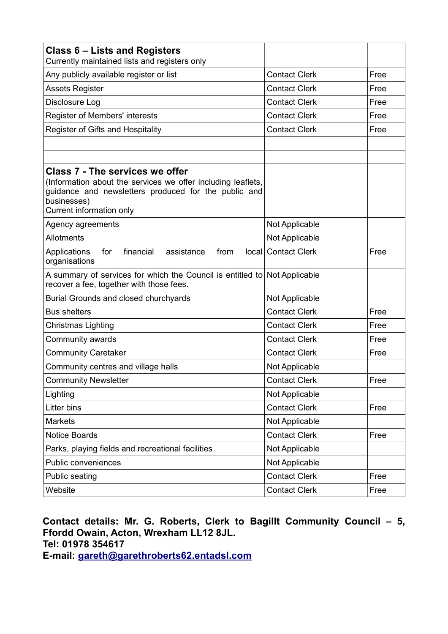| Class 6 – Lists and Registers<br>Currently maintained lists and registers only                                                                                                                            |                      |      |
|-----------------------------------------------------------------------------------------------------------------------------------------------------------------------------------------------------------|----------------------|------|
| Any publicly available register or list                                                                                                                                                                   | <b>Contact Clerk</b> | Free |
| <b>Assets Register</b>                                                                                                                                                                                    | <b>Contact Clerk</b> | Free |
| Disclosure Log                                                                                                                                                                                            | <b>Contact Clerk</b> | Free |
| Register of Members' interests                                                                                                                                                                            | <b>Contact Clerk</b> | Free |
| Register of Gifts and Hospitality                                                                                                                                                                         | <b>Contact Clerk</b> | Free |
|                                                                                                                                                                                                           |                      |      |
|                                                                                                                                                                                                           |                      |      |
| <b>Class 7 - The services we offer</b><br>(Information about the services we offer including leaflets,<br>guidance and newsletters produced for the public and<br>businesses)<br>Current information only |                      |      |
| Agency agreements                                                                                                                                                                                         | Not Applicable       |      |
| Allotments                                                                                                                                                                                                | Not Applicable       |      |
| financial<br>Applications<br>assistance<br>from<br>for<br>organisations                                                                                                                                   | local Contact Clerk  | Free |
| A summary of services for which the Council is entitled to Not Applicable<br>recover a fee, together with those fees.                                                                                     |                      |      |
| Burial Grounds and closed churchyards                                                                                                                                                                     | Not Applicable       |      |
| <b>Bus shelters</b>                                                                                                                                                                                       | <b>Contact Clerk</b> | Free |
| Christmas Lighting                                                                                                                                                                                        | <b>Contact Clerk</b> | Free |
| Community awards                                                                                                                                                                                          | <b>Contact Clerk</b> | Free |
| <b>Community Caretaker</b>                                                                                                                                                                                | <b>Contact Clerk</b> | Free |
| Community centres and village halls                                                                                                                                                                       | Not Applicable       |      |
| <b>Community Newsletter</b>                                                                                                                                                                               | <b>Contact Clerk</b> | Free |
| Lighting                                                                                                                                                                                                  | Not Applicable       |      |
| Litter bins                                                                                                                                                                                               | <b>Contact Clerk</b> | Free |
| <b>Markets</b>                                                                                                                                                                                            | Not Applicable       |      |
| <b>Notice Boards</b>                                                                                                                                                                                      | <b>Contact Clerk</b> | Free |
| Parks, playing fields and recreational facilities                                                                                                                                                         | Not Applicable       |      |
| Public conveniences                                                                                                                                                                                       | Not Applicable       |      |
| Public seating                                                                                                                                                                                            | <b>Contact Clerk</b> | Free |
| Website                                                                                                                                                                                                   | <b>Contact Clerk</b> | Free |

# **Contact details: Mr. G. Roberts, Clerk to Bagillt Community Council – 5, Ffordd Owain, Acton, Wrexham LL12 8JL. Tel: 01978 354617 E-mail: gareth@garethroberts62.entadsl.com**